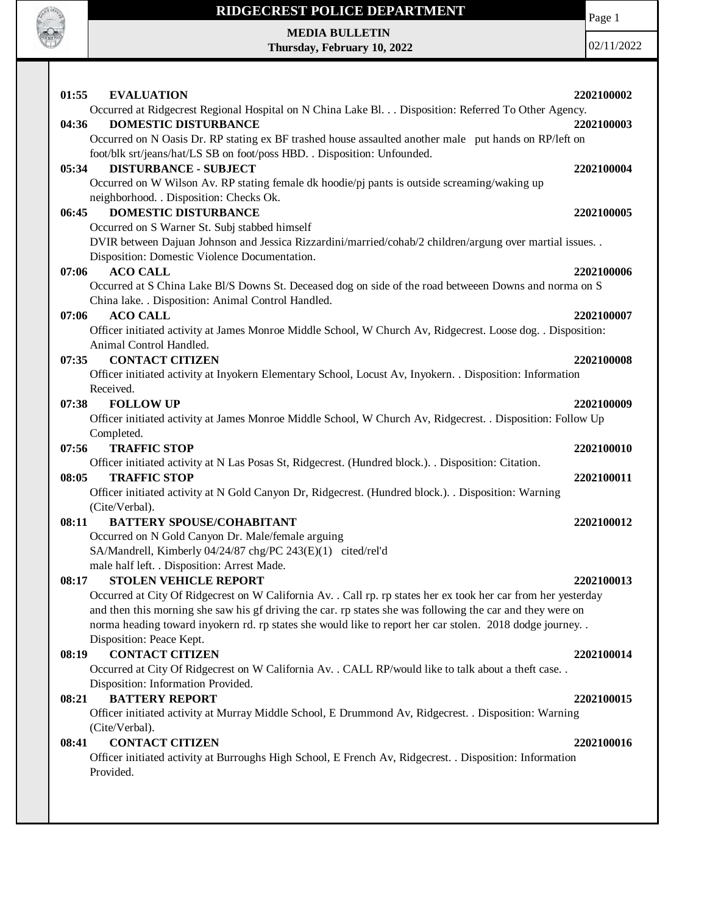

# **RIDGECREST POLICE DEPARTMENT MEDIA BULLETIN**

**Thursday, February 10, 2022**

Page 1

| <b>EVALUATION</b><br>01:55                                                                                              | 2202100002 |
|-------------------------------------------------------------------------------------------------------------------------|------------|
| Occurred at Ridgecrest Regional Hospital on N China Lake Bl. Disposition: Referred To Other Agency.                     |            |
| <b>DOMESTIC DISTURBANCE</b><br>04:36                                                                                    | 2202100003 |
| Occurred on N Oasis Dr. RP stating ex BF trashed house assaulted another male put hands on RP/left on                   |            |
| foot/blk srt/jeans/hat/LS SB on foot/poss HBD. . Disposition: Unfounded.                                                |            |
| <b>DISTURBANCE - SUBJECT</b><br>05:34                                                                                   | 2202100004 |
| Occurred on W Wilson Av. RP stating female dk hoodie/pj pants is outside screaming/waking up                            |            |
| neighborhood. . Disposition: Checks Ok.<br><b>DOMESTIC DISTURBANCE</b><br>06:45                                         | 2202100005 |
| Occurred on S Warner St. Subj stabbed himself                                                                           |            |
| DVIR between Dajuan Johnson and Jessica Rizzardini/married/cohab/2 children/argung over martial issues. .               |            |
| Disposition: Domestic Violence Documentation.                                                                           |            |
| <b>ACO CALL</b><br>07:06                                                                                                | 2202100006 |
| Occurred at S China Lake Bl/S Downs St. Deceased dog on side of the road betweeen Downs and norma on S                  |            |
| China lake. . Disposition: Animal Control Handled.                                                                      |            |
| <b>ACO CALL</b><br>07:06                                                                                                | 2202100007 |
| Officer initiated activity at James Monroe Middle School, W Church Av, Ridgecrest. Loose dog. . Disposition:            |            |
| Animal Control Handled.                                                                                                 |            |
| <b>CONTACT CITIZEN</b><br>07:35                                                                                         | 2202100008 |
| Officer initiated activity at Inyokern Elementary School, Locust Av, Inyokern. . Disposition: Information               |            |
| Received.                                                                                                               |            |
| <b>FOLLOW UP</b><br>07:38                                                                                               | 2202100009 |
| Officer initiated activity at James Monroe Middle School, W Church Av, Ridgecrest. . Disposition: Follow Up             |            |
| Completed.                                                                                                              |            |
| <b>TRAFFIC STOP</b><br>07:56                                                                                            | 2202100010 |
| Officer initiated activity at N Las Posas St, Ridgecrest. (Hundred block.). . Disposition: Citation.                    |            |
| <b>TRAFFIC STOP</b><br>08:05                                                                                            | 2202100011 |
| Officer initiated activity at N Gold Canyon Dr, Ridgecrest. (Hundred block.). . Disposition: Warning                    |            |
| (Cite/Verbal).                                                                                                          |            |
| <b>BATTERY SPOUSE/COHABITANT</b><br>08:11                                                                               | 2202100012 |
| Occurred on N Gold Canyon Dr. Male/female arguing                                                                       |            |
| SA/Mandrell, Kimberly 04/24/87 chg/PC 243(E)(1) cited/rel'd                                                             |            |
| male half left. . Disposition: Arrest Made.<br><b>STOLEN VEHICLE REPORT</b>                                             | 2202100013 |
| 08:17<br>Occurred at City Of Ridgecrest on W California Av. . Call rp. rp states her ex took her car from her yesterday |            |
| and then this morning she saw his gf driving the car. rp states she was following the car and they were on              |            |
| norma heading toward inyokern rd. rp states she would like to report her car stolen. 2018 dodge journey                 |            |
| Disposition: Peace Kept.                                                                                                |            |
| <b>CONTACT CITIZEN</b><br>08:19                                                                                         | 2202100014 |
| Occurred at City Of Ridgecrest on W California Av. . CALL RP/would like to talk about a theft case. .                   |            |
| Disposition: Information Provided.                                                                                      |            |
| <b>BATTERY REPORT</b><br>08:21                                                                                          | 2202100015 |
| Officer initiated activity at Murray Middle School, E Drummond Av, Ridgecrest. . Disposition: Warning                   |            |
| (Cite/Verbal).                                                                                                          |            |
| <b>CONTACT CITIZEN</b><br>08:41                                                                                         | 2202100016 |
| Officer initiated activity at Burroughs High School, E French Av, Ridgecrest. . Disposition: Information                |            |
| Provided.                                                                                                               |            |
|                                                                                                                         |            |
|                                                                                                                         |            |
|                                                                                                                         |            |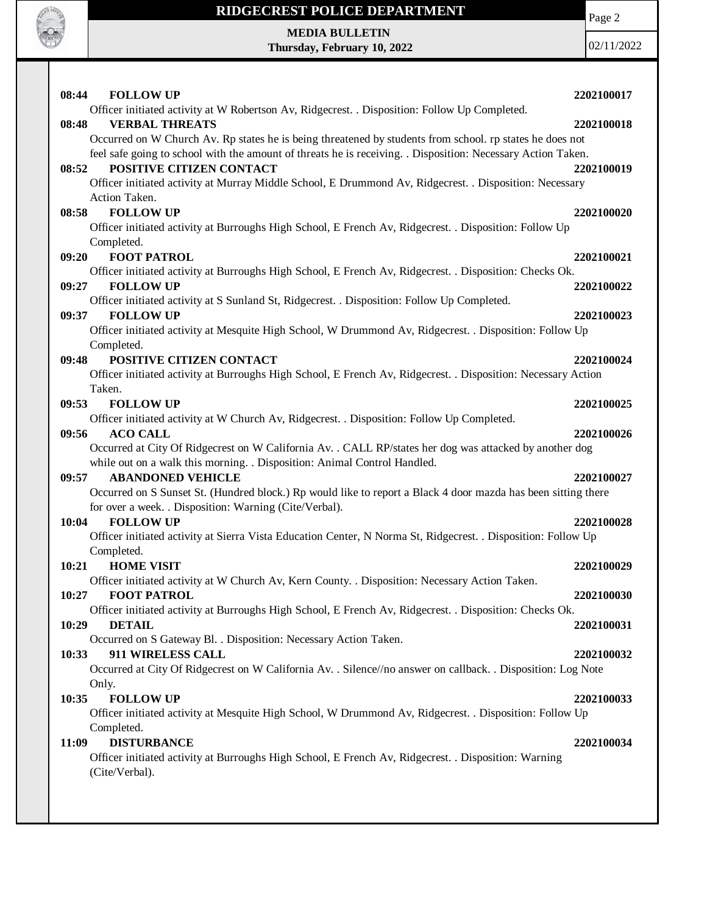

Page 2

**MEDIA BULLETIN Thursday, February 10, 2022**

| 08:44<br><b>FOLLOW UP</b>                                                                                                | 2202100017 |
|--------------------------------------------------------------------------------------------------------------------------|------------|
| Officer initiated activity at W Robertson Av, Ridgecrest. . Disposition: Follow Up Completed.                            |            |
| <b>VERBAL THREATS</b><br>08:48                                                                                           | 2202100018 |
| Occurred on W Church Av. Rp states he is being threatened by students from school. rp states he does not                 |            |
| feel safe going to school with the amount of threats he is receiving. . Disposition: Necessary Action Taken.             |            |
| POSITIVE CITIZEN CONTACT<br>08:52                                                                                        | 2202100019 |
| Officer initiated activity at Murray Middle School, E Drummond Av, Ridgecrest. . Disposition: Necessary                  |            |
| Action Taken.                                                                                                            |            |
| <b>FOLLOW UP</b><br>08:58                                                                                                | 2202100020 |
| Officer initiated activity at Burroughs High School, E French Av, Ridgecrest. . Disposition: Follow Up                   |            |
| Completed.                                                                                                               |            |
| 09:20<br><b>FOOT PATROL</b>                                                                                              | 2202100021 |
| Officer initiated activity at Burroughs High School, E French Av, Ridgecrest. . Disposition: Checks Ok.                  |            |
| 09:27<br><b>FOLLOW UP</b>                                                                                                | 2202100022 |
| Officer initiated activity at S Sunland St, Ridgecrest. . Disposition: Follow Up Completed.<br><b>FOLLOW UP</b><br>09:37 | 2202100023 |
| Officer initiated activity at Mesquite High School, W Drummond Av, Ridgecrest. . Disposition: Follow Up                  |            |
| Completed.                                                                                                               |            |
| POSITIVE CITIZEN CONTACT<br>09:48                                                                                        | 2202100024 |
| Officer initiated activity at Burroughs High School, E French Av, Ridgecrest. . Disposition: Necessary Action            |            |
| Taken.                                                                                                                   |            |
| <b>FOLLOW UP</b><br>09:53                                                                                                | 2202100025 |
| Officer initiated activity at W Church Av, Ridgecrest. . Disposition: Follow Up Completed.                               |            |
| 09:56<br><b>ACO CALL</b>                                                                                                 | 2202100026 |
| Occurred at City Of Ridgecrest on W California Av. . CALL RP/states her dog was attacked by another dog                  |            |
| while out on a walk this morning. . Disposition: Animal Control Handled.                                                 |            |
| <b>ABANDONED VEHICLE</b><br>09:57                                                                                        | 2202100027 |
| Occurred on S Sunset St. (Hundred block.) Rp would like to report a Black 4 door mazda has been sitting there            |            |
| for over a week. . Disposition: Warning (Cite/Verbal).                                                                   |            |
| 10:04<br><b>FOLLOW UP</b>                                                                                                | 2202100028 |
| Officer initiated activity at Sierra Vista Education Center, N Norma St, Ridgecrest. . Disposition: Follow Up            |            |
| Completed.                                                                                                               |            |
| 10:21<br><b>HOME VISIT</b>                                                                                               | 2202100029 |
| Officer initiated activity at W Church Av, Kern County. . Disposition: Necessary Action Taken.                           |            |
| <b>FOOT PATROL</b><br>10:27                                                                                              | 2202100030 |
| Officer initiated activity at Burroughs High School, E French Av, Ridgecrest. . Disposition: Checks Ok.                  |            |
| 10:29<br><b>DETAIL</b>                                                                                                   | 2202100031 |
| Occurred on S Gateway Bl. . Disposition: Necessary Action Taken.                                                         |            |
| 911 WIRELESS CALL<br>10:33                                                                                               | 2202100032 |
| Occurred at City Of Ridgecrest on W California Av. . Silence//no answer on callback. . Disposition: Log Note             |            |
| Only.                                                                                                                    |            |
| <b>FOLLOW UP</b><br>10:35                                                                                                | 2202100033 |
| Officer initiated activity at Mesquite High School, W Drummond Av, Ridgecrest. . Disposition: Follow Up                  |            |
| Completed.                                                                                                               |            |
| <b>DISTURBANCE</b><br>11:09                                                                                              | 2202100034 |
| Officer initiated activity at Burroughs High School, E French Av, Ridgecrest. . Disposition: Warning                     |            |
| (Cite/Verbal).                                                                                                           |            |
|                                                                                                                          |            |
|                                                                                                                          |            |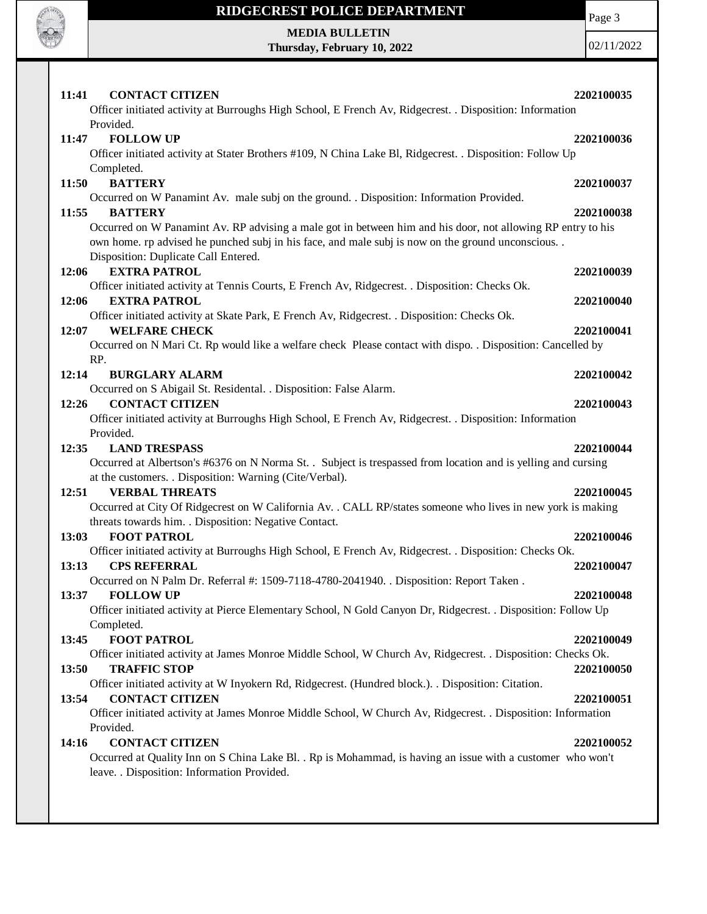

Page 3

**MEDIA BULLETIN Thursday, February 10, 2022**

| 11:41<br><b>CONTACT CITIZEN</b><br>Officer initiated activity at Burroughs High School, E French Av, Ridgecrest. . Disposition: Information                                                                                                                                        | 2202100035 |
|------------------------------------------------------------------------------------------------------------------------------------------------------------------------------------------------------------------------------------------------------------------------------------|------------|
| Provided.                                                                                                                                                                                                                                                                          |            |
| <b>FOLLOW UP</b><br>11:47                                                                                                                                                                                                                                                          | 2202100036 |
| Officer initiated activity at Stater Brothers #109, N China Lake Bl, Ridgecrest. . Disposition: Follow Up                                                                                                                                                                          |            |
| Completed.                                                                                                                                                                                                                                                                         |            |
| <b>BATTERY</b><br>11:50                                                                                                                                                                                                                                                            | 2202100037 |
| Occurred on W Panamint Av. male subj on the ground. . Disposition: Information Provided.                                                                                                                                                                                           |            |
| 11:55<br><b>BATTERY</b><br>Occurred on W Panamint Av. RP advising a male got in between him and his door, not allowing RP entry to his<br>own home. rp advised he punched subj in his face, and male subj is now on the ground unconscious<br>Disposition: Duplicate Call Entered. | 2202100038 |
| <b>EXTRA PATROL</b><br>12:06                                                                                                                                                                                                                                                       | 2202100039 |
| Officer initiated activity at Tennis Courts, E French Av, Ridgecrest. . Disposition: Checks Ok.                                                                                                                                                                                    |            |
| <b>EXTRA PATROL</b><br>12:06                                                                                                                                                                                                                                                       | 2202100040 |
| Officer initiated activity at Skate Park, E French Av, Ridgecrest. . Disposition: Checks Ok.                                                                                                                                                                                       |            |
| <b>WELFARE CHECK</b><br>12:07                                                                                                                                                                                                                                                      | 2202100041 |
| Occurred on N Mari Ct. Rp would like a welfare check Please contact with dispo. . Disposition: Cancelled by                                                                                                                                                                        |            |
| RP.                                                                                                                                                                                                                                                                                |            |
| 12:14<br><b>BURGLARY ALARM</b>                                                                                                                                                                                                                                                     | 2202100042 |
| Occurred on S Abigail St. Residental. . Disposition: False Alarm.                                                                                                                                                                                                                  |            |
| <b>CONTACT CITIZEN</b><br>12:26                                                                                                                                                                                                                                                    | 2202100043 |
| Officer initiated activity at Burroughs High School, E French Av, Ridgecrest. . Disposition: Information                                                                                                                                                                           |            |
| Provided.<br><b>LAND TRESPASS</b><br>12:35                                                                                                                                                                                                                                         | 2202100044 |
| Occurred at Albertson's #6376 on N Norma St. . Subject is trespassed from location and is yelling and cursing                                                                                                                                                                      |            |
| at the customers. . Disposition: Warning (Cite/Verbal).                                                                                                                                                                                                                            |            |
| <b>VERBAL THREATS</b><br>12:51                                                                                                                                                                                                                                                     | 2202100045 |
| Occurred at City Of Ridgecrest on W California Av. . CALL RP/states someone who lives in new york is making                                                                                                                                                                        |            |
| threats towards him. . Disposition: Negative Contact.                                                                                                                                                                                                                              |            |
| 13:03<br><b>FOOT PATROL</b>                                                                                                                                                                                                                                                        | 2202100046 |
|                                                                                                                                                                                                                                                                                    |            |
| Officer initiated activity at Burroughs High School, E French Av, Ridgecrest. . Disposition: Checks Ok.                                                                                                                                                                            |            |
| <b>CPS REFERRAL</b><br>13:13                                                                                                                                                                                                                                                       | 2202100047 |
| Occurred on N Palm Dr. Referral #: 1509-7118-4780-2041940. . Disposition: Report Taken.                                                                                                                                                                                            |            |
| 13:37<br><b>FOLLOW UP</b>                                                                                                                                                                                                                                                          | 2202100048 |
| Officer initiated activity at Pierce Elementary School, N Gold Canyon Dr, Ridgecrest. . Disposition: Follow Up                                                                                                                                                                     |            |
| Completed.                                                                                                                                                                                                                                                                         |            |
| 13:45<br><b>FOOT PATROL</b>                                                                                                                                                                                                                                                        | 2202100049 |
| Officer initiated activity at James Monroe Middle School, W Church Av, Ridgecrest. . Disposition: Checks Ok.                                                                                                                                                                       |            |
| 13:50<br><b>TRAFFIC STOP</b>                                                                                                                                                                                                                                                       | 2202100050 |
| Officer initiated activity at W Inyokern Rd, Ridgecrest. (Hundred block.). . Disposition: Citation.                                                                                                                                                                                |            |
| <b>CONTACT CITIZEN</b><br>13:54                                                                                                                                                                                                                                                    | 2202100051 |
| Officer initiated activity at James Monroe Middle School, W Church Av, Ridgecrest. . Disposition: Information                                                                                                                                                                      |            |
| Provided.                                                                                                                                                                                                                                                                          |            |
| 14:16<br><b>CONTACT CITIZEN</b>                                                                                                                                                                                                                                                    | 2202100052 |
| Occurred at Quality Inn on S China Lake Bl. . Rp is Mohammad, is having an issue with a customer who won't<br>leave. . Disposition: Information Provided.                                                                                                                          |            |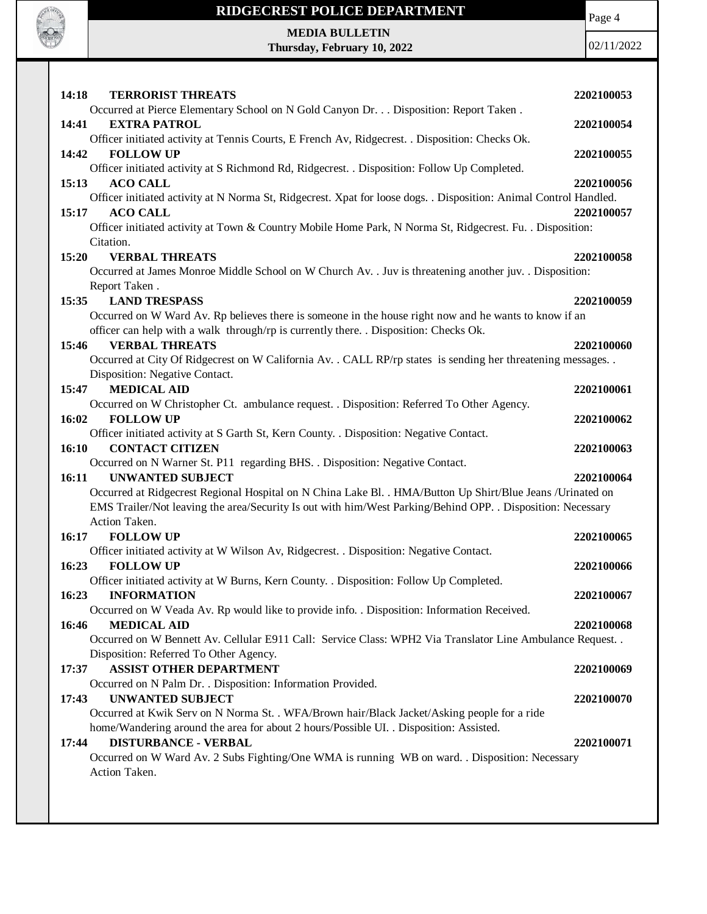

# **RIDGECREST POLICE DEPARTMENT MEDIA BULLETIN**

**Thursday, February 10, 2022**

02/11/2022

Page 4

| 14:18<br><b>TERRORIST THREATS</b>                                                                                                             | 2202100053 |
|-----------------------------------------------------------------------------------------------------------------------------------------------|------------|
| Occurred at Pierce Elementary School on N Gold Canyon Dr. Disposition: Report Taken.                                                          |            |
| 14:41<br><b>EXTRA PATROL</b>                                                                                                                  | 2202100054 |
| Officer initiated activity at Tennis Courts, E French Av, Ridgecrest. . Disposition: Checks Ok.                                               |            |
| 14:42<br><b>FOLLOW UP</b>                                                                                                                     | 2202100055 |
| Officer initiated activity at S Richmond Rd, Ridgecrest. . Disposition: Follow Up Completed.                                                  |            |
| 15:13<br><b>ACO CALL</b><br>Officer initiated activity at N Norma St, Ridgecrest. Xpat for loose dogs. . Disposition: Animal Control Handled. | 2202100056 |
| 15:17<br><b>ACO CALL</b>                                                                                                                      | 2202100057 |
| Officer initiated activity at Town & Country Mobile Home Park, N Norma St, Ridgecrest. Fu. . Disposition:                                     |            |
| Citation.                                                                                                                                     |            |
| <b>VERBAL THREATS</b><br>15:20                                                                                                                | 2202100058 |
| Occurred at James Monroe Middle School on W Church Av. . Juv is threatening another juv. . Disposition:                                       |            |
| Report Taken.                                                                                                                                 |            |
| <b>LAND TRESPASS</b><br>15:35                                                                                                                 | 2202100059 |
| Occurred on W Ward Av. Rp believes there is someone in the house right now and he wants to know if an                                         |            |
| officer can help with a walk through/rp is currently there. . Disposition: Checks Ok.                                                         |            |
| <b>VERBAL THREATS</b><br>15:46                                                                                                                | 2202100060 |
| Occurred at City Of Ridgecrest on W California Av. . CALL RP/rp states is sending her threatening messages. .                                 |            |
| Disposition: Negative Contact.                                                                                                                |            |
| <b>MEDICAL AID</b><br>15:47                                                                                                                   | 2202100061 |
| Occurred on W Christopher Ct. ambulance request. . Disposition: Referred To Other Agency.                                                     |            |
| 16:02<br><b>FOLLOW UP</b>                                                                                                                     | 2202100062 |
| Officer initiated activity at S Garth St, Kern County. . Disposition: Negative Contact.                                                       |            |
| <b>CONTACT CITIZEN</b><br>16:10                                                                                                               | 2202100063 |
| Occurred on N Warner St. P11 regarding BHS. . Disposition: Negative Contact.                                                                  |            |
| 16:11<br><b>UNWANTED SUBJECT</b>                                                                                                              | 2202100064 |
| Occurred at Ridgecrest Regional Hospital on N China Lake Bl. . HMA/Button Up Shirt/Blue Jeans /Urinated on                                    |            |
| EMS Trailer/Not leaving the area/Security Is out with him/West Parking/Behind OPP. . Disposition: Necessary<br>Action Taken.                  |            |
| 16:17<br><b>FOLLOW UP</b>                                                                                                                     | 2202100065 |
| Officer initiated activity at W Wilson Av, Ridgecrest. . Disposition: Negative Contact.                                                       |            |
| <b>FOLLOW UP</b><br>16:23                                                                                                                     | 2202100066 |
| Officer initiated activity at W Burns, Kern County. . Disposition: Follow Up Completed.                                                       |            |
| 16:23<br><b>INFORMATION</b>                                                                                                                   | 2202100067 |
| Occurred on W Veada Av. Rp would like to provide info. . Disposition: Information Received.                                                   |            |
| 16:46<br><b>MEDICAL AID</b>                                                                                                                   | 2202100068 |
| Occurred on W Bennett Av. Cellular E911 Call: Service Class: WPH2 Via Translator Line Ambulance Request                                       |            |
| Disposition: Referred To Other Agency.                                                                                                        |            |
| <b>ASSIST OTHER DEPARTMENT</b><br>17:37                                                                                                       | 2202100069 |
| Occurred on N Palm Dr. . Disposition: Information Provided.                                                                                   |            |
| <b>UNWANTED SUBJECT</b><br>17:43                                                                                                              | 2202100070 |
| Occurred at Kwik Serv on N Norma St. . WFA/Brown hair/Black Jacket/Asking people for a ride                                                   |            |
| home/Wandering around the area for about 2 hours/Possible UI. . Disposition: Assisted.                                                        |            |
| <b>DISTURBANCE - VERBAL</b><br>17:44                                                                                                          | 2202100071 |
| Occurred on W Ward Av. 2 Subs Fighting/One WMA is running WB on ward. . Disposition: Necessary                                                |            |
| Action Taken.                                                                                                                                 |            |
|                                                                                                                                               |            |
|                                                                                                                                               |            |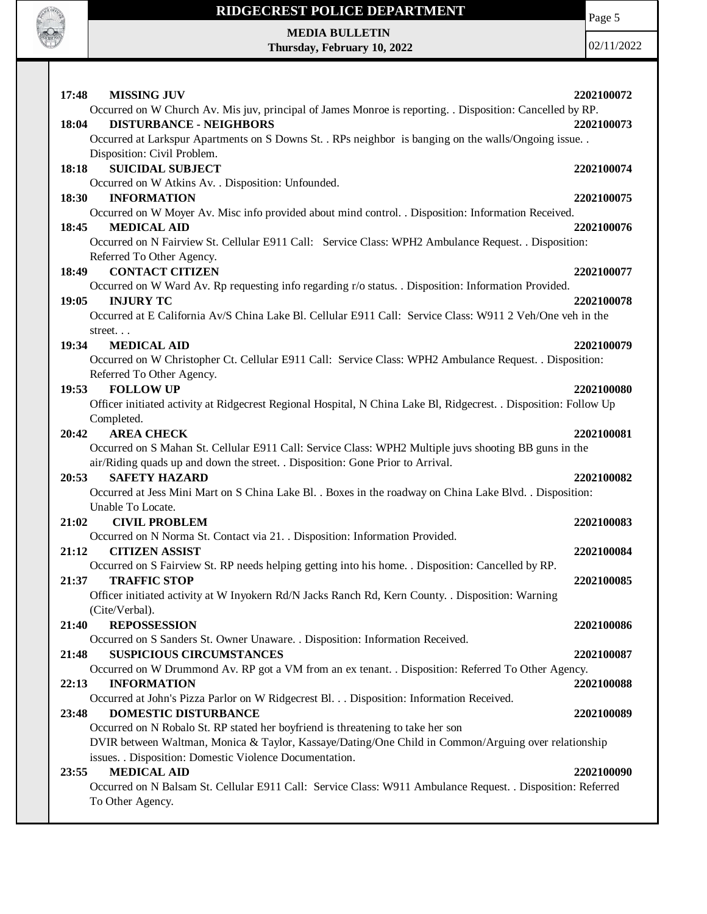

Page 5

**MEDIA BULLETIN Thursday, February 10, 2022**

| <b>MISSING JUV</b><br>17:48                                                                                       | 2202100072 |
|-------------------------------------------------------------------------------------------------------------------|------------|
| Occurred on W Church Av. Mis juv, principal of James Monroe is reporting. . Disposition: Cancelled by RP.         |            |
| <b>DISTURBANCE - NEIGHBORS</b><br>18:04                                                                           | 2202100073 |
| Occurred at Larkspur Apartments on S Downs St. . RPs neighbor is banging on the walls/Ongoing issue. .            |            |
| Disposition: Civil Problem.                                                                                       |            |
| <b>SUICIDAL SUBJECT</b><br>18:18                                                                                  | 2202100074 |
| Occurred on W Atkins Av. . Disposition: Unfounded.                                                                |            |
| 18:30<br><b>INFORMATION</b>                                                                                       | 2202100075 |
| Occurred on W Moyer Av. Misc info provided about mind control. . Disposition: Information Received.               |            |
| 18:45<br><b>MEDICAL AID</b>                                                                                       | 2202100076 |
| Occurred on N Fairview St. Cellular E911 Call: Service Class: WPH2 Ambulance Request. . Disposition:              |            |
| Referred To Other Agency.                                                                                         |            |
| <b>CONTACT CITIZEN</b><br>18:49                                                                                   | 2202100077 |
| Occurred on W Ward Av. Rp requesting info regarding r/o status. . Disposition: Information Provided.              |            |
| 19:05<br><b>INJURY TC</b>                                                                                         | 2202100078 |
| Occurred at E California Av/S China Lake Bl. Cellular E911 Call: Service Class: W911 2 Veh/One veh in the         |            |
| street                                                                                                            |            |
| 19:34<br><b>MEDICAL AID</b>                                                                                       | 2202100079 |
| Occurred on W Christopher Ct. Cellular E911 Call: Service Class: WPH2 Ambulance Request. . Disposition:           |            |
| Referred To Other Agency.                                                                                         |            |
| <b>FOLLOW UP</b><br>19:53                                                                                         | 2202100080 |
| Officer initiated activity at Ridgecrest Regional Hospital, N China Lake Bl, Ridgecrest. . Disposition: Follow Up |            |
| Completed.                                                                                                        |            |
| <b>AREA CHECK</b><br>20:42                                                                                        | 2202100081 |
| Occurred on S Mahan St. Cellular E911 Call: Service Class: WPH2 Multiple juvs shooting BB guns in the             |            |
| air/Riding quads up and down the street. . Disposition: Gone Prior to Arrival.                                    |            |
| <b>SAFETY HAZARD</b><br>20:53                                                                                     | 2202100082 |
| Occurred at Jess Mini Mart on S China Lake Bl. . Boxes in the roadway on China Lake Blvd. . Disposition:          |            |
| Unable To Locate.                                                                                                 |            |
| 21:02<br><b>CIVIL PROBLEM</b>                                                                                     | 2202100083 |
| Occurred on N Norma St. Contact via 21. . Disposition: Information Provided.                                      |            |
| 21:12<br><b>CITIZEN ASSIST</b>                                                                                    | 2202100084 |
| Occurred on S Fairview St. RP needs helping getting into his home. . Disposition: Cancelled by RP.                |            |
| <b>TRAFFIC STOP</b><br>21:37                                                                                      | 2202100085 |
| Officer initiated activity at W Inyokern Rd/N Jacks Ranch Rd, Kern County. . Disposition: Warning                 |            |
| (Cite/Verbal).                                                                                                    |            |
| <b>REPOSSESSION</b><br>21:40                                                                                      | 2202100086 |
| Occurred on S Sanders St. Owner Unaware. . Disposition: Information Received.                                     |            |
| <b>SUSPICIOUS CIRCUMSTANCES</b><br>21:48                                                                          | 2202100087 |
| Occurred on W Drummond Av. RP got a VM from an ex tenant. . Disposition: Referred To Other Agency.                |            |
| <b>INFORMATION</b><br>22:13                                                                                       | 2202100088 |
| Occurred at John's Pizza Parlor on W Ridgecrest Bl. Disposition: Information Received.                            |            |
| <b>DOMESTIC DISTURBANCE</b><br>23:48                                                                              | 2202100089 |
| Occurred on N Robalo St. RP stated her boyfriend is threatening to take her son                                   |            |
| DVIR between Waltman, Monica & Taylor, Kassaye/Dating/One Child in Common/Arguing over relationship               |            |
| issues. . Disposition: Domestic Violence Documentation.                                                           |            |
| <b>MEDICAL AID</b><br>23:55                                                                                       | 2202100090 |
| Occurred on N Balsam St. Cellular E911 Call: Service Class: W911 Ambulance Request. . Disposition: Referred       |            |
| To Other Agency.                                                                                                  |            |